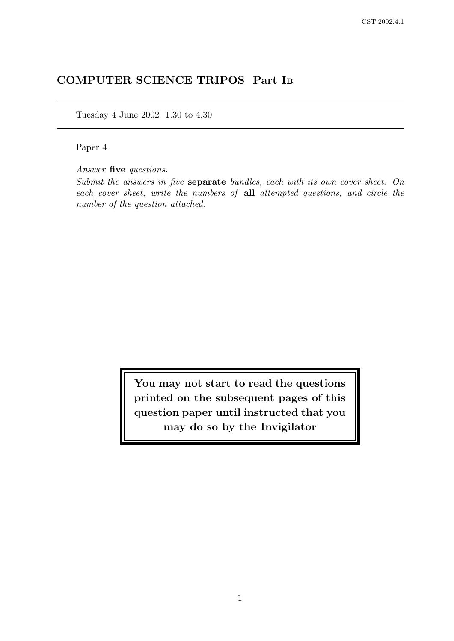# COMPUTER SCIENCE TRIPOS Part I<sup>B</sup>

Tuesday 4 June 2002 1.30 to 4.30

Paper 4

Answer five questions.

Submit the answers in five separate bundles, each with its own cover sheet. On each cover sheet, write the numbers of all attempted questions, and circle the number of the question attached.

> You may not start to read the questions printed on the subsequent pages of this question paper until instructed that you may do so by the Invigilator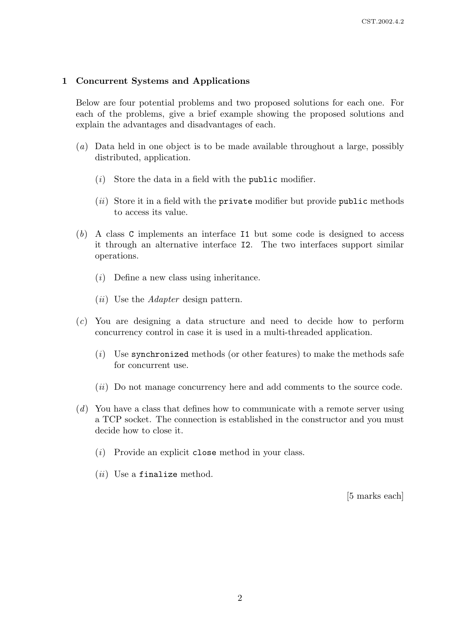# 1 Concurrent Systems and Applications

Below are four potential problems and two proposed solutions for each one. For each of the problems, give a brief example showing the proposed solutions and explain the advantages and disadvantages of each.

- (a) Data held in one object is to be made available throughout a large, possibly distributed, application.
	- $(i)$  Store the data in a field with the public modifier.
	- $(ii)$  Store it in a field with the private modifier but provide public methods to access its value.
- (b) A class C implements an interface I1 but some code is designed to access it through an alternative interface I2. The two interfaces support similar operations.
	- (i) Define a new class using inheritance.
	- (*ii*) Use the *Adapter* design pattern.
- (c) You are designing a data structure and need to decide how to perform concurrency control in case it is used in a multi-threaded application.
	- $(i)$  Use synchronized methods (or other features) to make the methods safe for concurrent use.
	- $(ii)$  Do not manage concurrency here and add comments to the source code.
- (d) You have a class that defines how to communicate with a remote server using a TCP socket. The connection is established in the constructor and you must decide how to close it.
	- $(i)$  Provide an explicit close method in your class.
	- $(ii)$  Use a finalize method.

[5 marks each]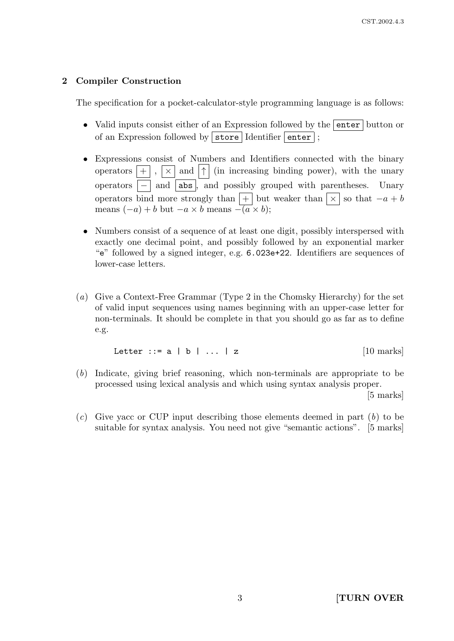# 2 Compiler Construction

The specification for a pocket-calculator-style programming language is as follows:

- Valid inputs consist either of an Expression followed by the enter button or of an Expression followed by  $|\,\text{store}|$  Identifier  $|\,\text{enter}|$ ;
- Expressions consist of Numbers and Identifiers connected with the binary operators  $\boxed{+}$ ,  $\boxed{\times}$  and  $\boxed{\uparrow}$  (in increasing binding power), with the unary operators  $\vert - \vert$  and  $\vert$  abs  $\vert$ , and possibly grouped with parentheses. Unary operators bind more strongly than  $|+|$  but weaker than  $|\times|$  so that  $-a + b$ means  $(-a) + b$  but  $-a \times b$  means  $-\overline{(a} \times b)$ ;
- Numbers consist of a sequence of at least one digit, possibly interspersed with exactly one decimal point, and possibly followed by an exponential marker "e" followed by a signed integer, e.g. 6.023e+22. Identifiers are sequences of lower-case letters.
- (a) Give a Context-Free Grammar (Type 2 in the Chomsky Hierarchy) for the set of valid input sequences using names beginning with an upper-case letter for non-terminals. It should be complete in that you should go as far as to define e.g.

Letter ::= a | b |  $\dots$  | z  $[10 \text{ marks}]$ 

(b) Indicate, giving brief reasoning, which non-terminals are appropriate to be processed using lexical analysis and which using syntax analysis proper.

[5 marks]

 $(c)$  Give yacc or CUP input describing those elements deemed in part  $(b)$  to be suitable for syntax analysis. You need not give "semantic actions". [5 marks]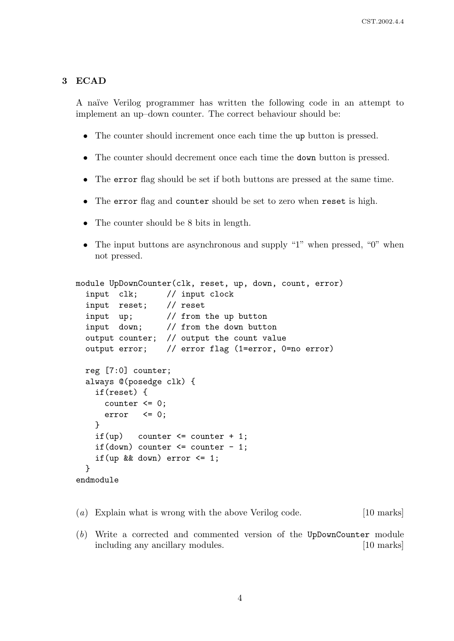# 3 ECAD

A naïve Verilog programmer has written the following code in an attempt to implement an up–down counter. The correct behaviour should be:

- The counter should increment once each time the up button is pressed.
- The counter should decrement once each time the **down** button is pressed.
- The error flag should be set if both buttons are pressed at the same time.
- The error flag and counter should be set to zero when reset is high.
- The counter should be 8 bits in length.
- The input buttons are asynchronous and supply "1" when pressed, "0" when not pressed.

```
module UpDownCounter(clk, reset, up, down, count, error)
 input clk; // input clock
 input reset; // reset
 input up; // from the up button
 input down; // from the down button
 output counter; // output the count value
 output error; // error flag (1=error, 0=no error)
 reg [7:0] counter;
 always @(posedge clk) {
   if(reset) {
     counter \leq 0;
     error \leq 0;
   }
   if(up) counter \le counter + 1;
   if(down) counter \leq counter - 1;
   if(up && down) error \leq 1;
 }
endmodule
```
- (a) Explain what is wrong with the above Verilog code. [10 marks]
- (b) Write a corrected and commented version of the UpDownCounter module including any ancillary modules. [10 marks]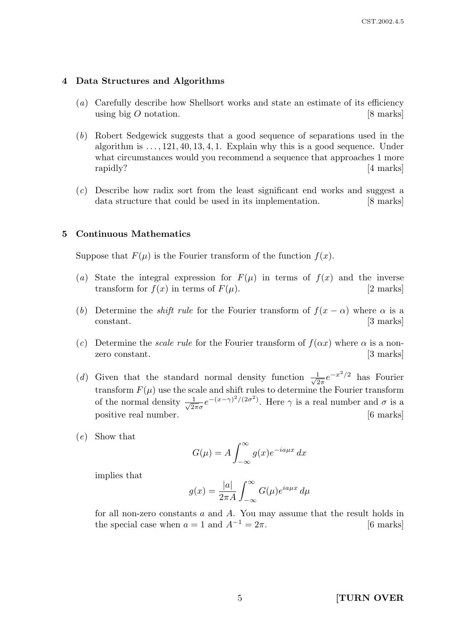#### 4 Data Structures and Algorithms

- (a) Carefully describe how Shellsort works and state an estimate of its efficiency using big O notation.  $[8 \text{ marks}]$
- (b) Robert Sedgewick suggests that a good sequence of separations used in the algorithm is  $\dots$ , 121, 40, 13, 4, 1. Explain why this is a good sequence. Under what circumstances would you recommend a sequence that approaches 1 more rapidly? [4 marks]
- (c) Describe how radix sort from the least significant end works and suggest a data structure that could be used in its implementation. [8 marks]

#### 5 Continuous Mathematics

Suppose that  $F(\mu)$  is the Fourier transform of the function  $f(x)$ .

- (a) State the integral expression for  $F(\mu)$  in terms of  $f(x)$  and the inverse transform for  $f(x)$  in terms of  $F(\mu)$ . [2 marks]
- (b) Determine the *shift rule* for the Fourier transform of  $f(x \alpha)$  where  $\alpha$  is a constant. [3 marks]
- (c) Determine the scale rule for the Fourier transform of  $f(\alpha x)$  where  $\alpha$  is a nonzero constant. [3 marks]
- (d) Given that the standard normal density function  $\frac{1}{\sqrt{6}}$  $\frac{1}{2\pi}e^{-x^2/2}$  has Fourier transform  $F(\mu)$  use the scale and shift rules to determine the Fourier transform of the normal density  $\frac{1}{\sqrt{2}}$  $\frac{1}{2\pi\sigma}e^{-(x-\gamma)^2/(2\sigma^2)}$ . Here  $\gamma$  is a real number and  $\sigma$  is a positive real number. [6 marks]
- (e) Show that

$$
G(\mu) = A \int_{-\infty}^{\infty} g(x) e^{-ia\mu x} dx
$$

implies that

$$
g(x) = \frac{|a|}{2\pi A} \int_{-\infty}^{\infty} G(\mu) e^{ia\mu x} d\mu
$$

for all non-zero constants  $a$  and  $A$ . You may assume that the result holds in the special case when  $a = 1$  and  $A^{-1} = 2\pi$ . [6 marks]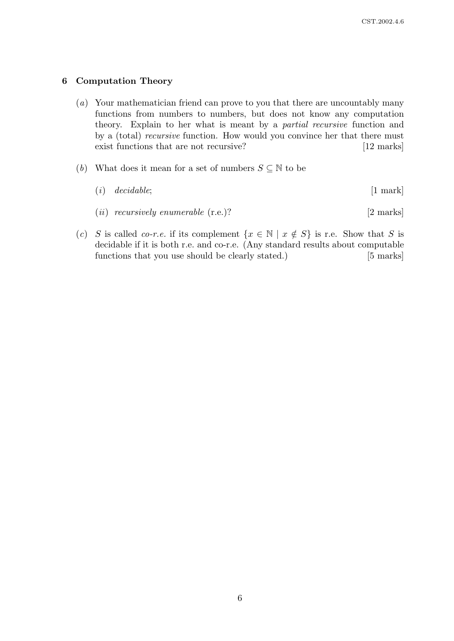### 6 Computation Theory

- (a) Your mathematician friend can prove to you that there are uncountably many functions from numbers to numbers, but does not know any computation theory. Explain to her what is meant by a partial recursive function and by a (total) recursive function. How would you convince her that there must exist functions that are not recursive? [12 marks]
- (b) What does it mean for a set of numbers  $S \subseteq \mathbb{N}$  to be
	- $(i)$  decidable;  $[1 \text{ mark}]$
	- (*ii*) *recursively enumerable*  $(r.e.$ ? [2 marks]
- (c) S is called co-r.e. if its complement  $\{x \in \mathbb{N} \mid x \notin S\}$  is r.e. Show that S is decidable if it is both r.e. and co-r.e. (Any standard results about computable functions that you use should be clearly stated.) [5 marks]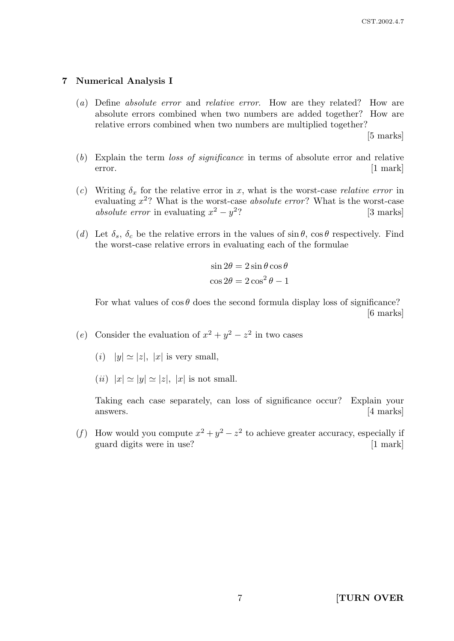# 7 Numerical Analysis I

(a) Define absolute error and relative error. How are they related? How are absolute errors combined when two numbers are added together? How are relative errors combined when two numbers are multiplied together?

[5 marks]

- (b) Explain the term loss of significance in terms of absolute error and relative error. [1 mark]
- (c) Writing  $\delta_x$  for the relative error in x, what is the worst-case relative error in evaluating  $x^2$ ? What is the worst-case *absolute error*? What is the worst-case absolute error in evaluating  $x^2 - y^2$ [3 marks]
- (d) Let  $\delta_s$ ,  $\delta_c$  be the relative errors in the values of  $\sin \theta$ ,  $\cos \theta$  respectively. Find the worst-case relative errors in evaluating each of the formulae

$$
\sin 2\theta = 2\sin \theta \cos \theta
$$

$$
\cos 2\theta = 2\cos^2 \theta - 1
$$

For what values of  $\cos \theta$  does the second formula display loss of significance? [6 marks]

- (e) Consider the evaluation of  $x^2 + y^2 z^2$  in two cases
	- (*i*)  $|y| \simeq |z|, |x|$  is very small,
	- (*ii*)  $|x| \simeq |y| \simeq |z|$ ,  $|x|$  is not small.

Taking each case separately, can loss of significance occur? Explain your answers. [4 marks]

(f) How would you compute  $x^2 + y^2 - z^2$  to achieve greater accuracy, especially if guard digits were in use? [1 mark]